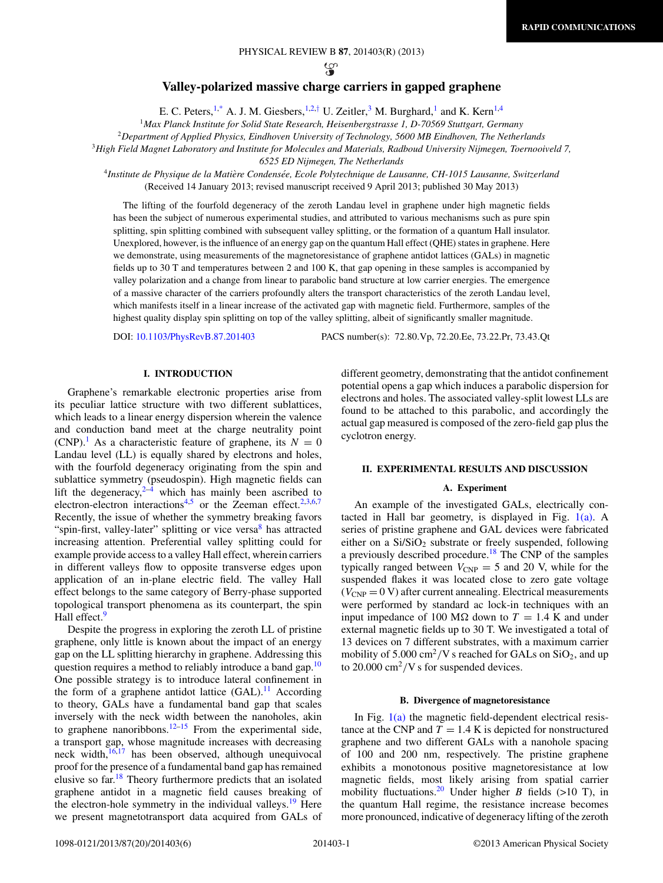$\mathfrak{P}$ 

# **Valley-polarized massive charge carriers in gapped graphene**

E. C. Peters,<sup>1[,\\*](#page-4-0)</sup> A. J. M. Giesbers,<sup>1,2,[†](#page-4-0)</sup> U. Zeitler,<sup>3</sup> M. Burghard,<sup>1</sup> and K. Kern<sup>1,4</sup>

<sup>1</sup>*Max Planck Institute for Solid State Research, Heisenbergstrasse 1, D-70569 Stuttgart, Germany*

<sup>2</sup>*Department of Applied Physics, Eindhoven University of Technology, 5600 MB Eindhoven, The Netherlands*

<sup>3</sup>*High Field Magnet Laboratory and Institute for Molecules and Materials, Radboud University Nijmegen, Toernooiveld 7,*

*6525 ED Nijmegen, The Netherlands*

<sup>4</sup>*Institute de Physique de la Matiere Condens ` ee, Ecole Polytechnique de Lausanne, CH-1015 Lausanne, Switzerland ´* (Received 14 January 2013; revised manuscript received 9 April 2013; published 30 May 2013)

The lifting of the fourfold degeneracy of the zeroth Landau level in graphene under high magnetic fields has been the subject of numerous experimental studies, and attributed to various mechanisms such as pure spin splitting, spin splitting combined with subsequent valley splitting, or the formation of a quantum Hall insulator. Unexplored, however, is the influence of an energy gap on the quantum Hall effect (QHE) states in graphene. Here we demonstrate, using measurements of the magnetoresistance of graphene antidot lattices (GALs) in magnetic fields up to 30 T and temperatures between 2 and 100 K, that gap opening in these samples is accompanied by valley polarization and a change from linear to parabolic band structure at low carrier energies. The emergence of a massive character of the carriers profoundly alters the transport characteristics of the zeroth Landau level, which manifests itself in a linear increase of the activated gap with magnetic field. Furthermore, samples of the highest quality display spin splitting on top of the valley splitting, albeit of significantly smaller magnitude.

DOI: [10.1103/PhysRevB.87.201403](http://dx.doi.org/10.1103/PhysRevB.87.201403) PACS number(s): 72*.*80*.*Vp, 72*.*20*.*Ee, 73*.*22*.*Pr, 73*.*43*.*Qt

## **I. INTRODUCTION**

Graphene's remarkable electronic properties arise from its peculiar lattice structure with two different sublattices, which leads to a linear energy dispersion wherein the valence and conduction band meet at the charge neutrality point  $(CNP).<sup>1</sup>$  $(CNP).<sup>1</sup>$  $(CNP).<sup>1</sup>$  As a characteristic feature of graphene, its  $N = 0$ Landau level (LL) is equally shared by electrons and holes, with the fourfold degeneracy originating from the spin and sublattice symmetry (pseudospin). High magnetic fields can lift the degeneracy, $2-4$  which has mainly been ascribed to electron-electron interactions<sup>4,5</sup> or the Zeeman effect.<sup>[2,3,6,7](#page-4-0)</sup> Recently, the issue of whether the symmetry breaking favors "spin-first, valley-later" splitting or vice versa<sup>[8](#page-4-0)</sup> has attracted increasing attention. Preferential valley splitting could for example provide access to a valley Hall effect, wherein carriers in different valleys flow to opposite transverse edges upon application of an in-plane electric field. The valley Hall effect belongs to the same category of Berry-phase supported topological transport phenomena as its counterpart, the spin Hall effect.<sup>9</sup>

Despite the progress in exploring the zeroth LL of pristine graphene, only little is known about the impact of an energy gap on the LL splitting hierarchy in graphene. Addressing this question requires a method to reliably introduce a band gap.<sup>[10](#page-4-0)</sup> One possible strategy is to introduce lateral confinement in the form of a graphene antidot lattice  $(GAL)$ .<sup>11</sup> According to theory, GALs have a fundamental band gap that scales inversely with the neck width between the nanoholes, akin to graphene nanoribbons.<sup>12–15</sup> From the experimental side, a transport gap, whose magnitude increases with decreasing neck width, $16,17$  has been observed, although unequivocal proof for the presence of a fundamental band gap has remained elusive so far.[18](#page-5-0) Theory furthermore predicts that an isolated graphene antidot in a magnetic field causes breaking of the electron-hole symmetry in the individual valleys.<sup>19</sup> Here we present magnetotransport data acquired from GALs of

different geometry, demonstrating that the antidot confinement potential opens a gap which induces a parabolic dispersion for electrons and holes. The associated valley-split lowest LLs are found to be attached to this parabolic, and accordingly the actual gap measured is composed of the zero-field gap plus the cyclotron energy.

## **II. EXPERIMENTAL RESULTS AND DISCUSSION**

### **A. Experiment**

An example of the investigated GALs, electrically contacted in Hall bar geometry, is displayed in Fig.  $1(a)$ . A series of pristine graphene and GAL devices were fabricated either on a  $Si/SiO<sub>2</sub>$  substrate or freely suspended, following a previously described procedure[.18](#page-5-0) The CNP of the samples typically ranged between  $V_{CNP} = 5$  and 20 V, while for the suspended flakes it was located close to zero gate voltage  $(V_{\text{CNP}} = 0 V)$  after current annealing. Electrical measurements were performed by standard ac lock-in techniques with an input impedance of 100 M $\Omega$  down to  $T = 1.4$  K and under external magnetic fields up to 30 T. We investigated a total of 13 devices on 7 different substrates, with a maximum carrier mobility of  $5.000 \text{ cm}^2/\text{V}$  s reached for GALs on SiO<sub>2</sub>, and up to 20.000 cm<sup>2</sup>/V s for suspended devices.

### **B. Divergence of magnetoresistance**

In Fig. [1\(a\)](#page-1-0) the magnetic field-dependent electrical resistance at the CNP and  $T = 1.4$  K is depicted for nonstructured graphene and two different GALs with a nanohole spacing of 100 and 200 nm, respectively. The pristine graphene exhibits a monotonous positive magnetoresistance at low magnetic fields, most likely arising from spatial carrier mobility fluctuations.<sup>[20](#page-5-0)</sup> Under higher *B* fields (>10 T), in the quantum Hall regime, the resistance increase becomes more pronounced, indicative of degeneracy lifting of the zeroth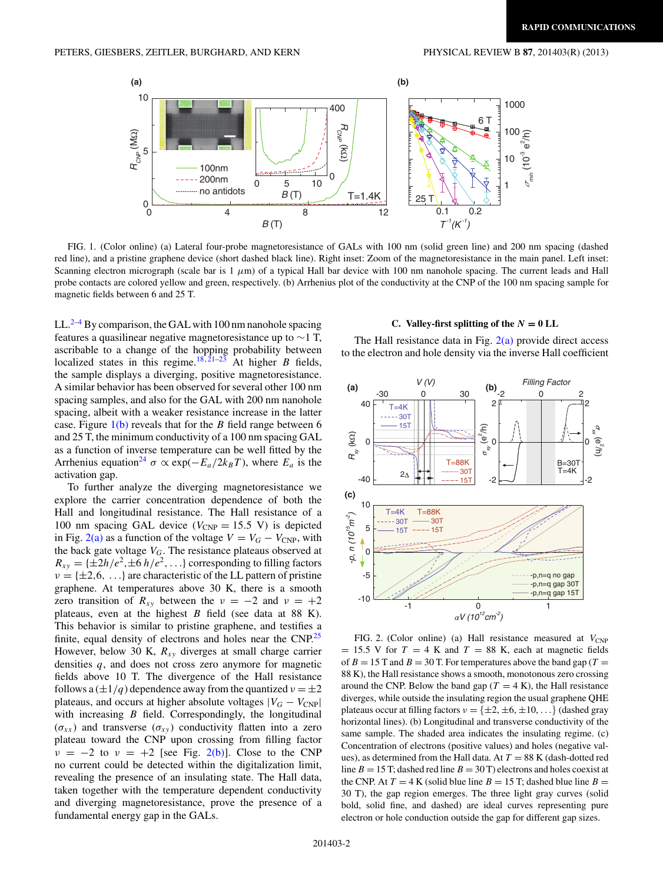<span id="page-1-0"></span>

FIG. 1. (Color online) (a) Lateral four-probe magnetoresistance of GALs with 100 nm (solid green line) and 200 nm spacing (dashed red line), and a pristine graphene device (short dashed black line). Right inset: Zoom of the magnetoresistance in the main panel. Left inset: Scanning electron micrograph (scale bar is  $1 \mu$ m) of a typical Hall bar device with 100 nm nanohole spacing. The current leads and Hall probe contacts are colored yellow and green, respectively. (b) Arrhenius plot of the conductivity at the CNP of the 100 nm spacing sample for magnetic fields between 6 and 25 T.

LL. $2-4$  By comparison, the GAL with 100 nm nanohole spacing features a quasilinear negative magnetoresistance up to ∼1 T, ascribable to a change of the hopping probability between localized states in this regime.<sup>[18](#page-5-0),[21–23](#page-5-0)</sup> At higher *B* fields, the sample displays a diverging, positive magnetoresistance. A similar behavior has been observed for several other 100 nm spacing samples, and also for the GAL with 200 nm nanohole spacing, albeit with a weaker resistance increase in the latter case. Figure 1(b) reveals that for the *B* field range between 6 and 25 T, the minimum conductivity of a 100 nm spacing GAL as a function of inverse temperature can be well fitted by the Arrhenius equation<sup>24</sup>  $\sigma \propto \exp(-E_a/2k_BT)$ , where  $E_a$  is the activation gap.

To further analyze the diverging magnetoresistance we explore the carrier concentration dependence of both the Hall and longitudinal resistance. The Hall resistance of a 100 nm spacing GAL device ( $V_{\text{CNP}} = 15.5$  V) is depicted in Fig. 2(a) as a function of the voltage  $V = V_G - V_{CNP}$ , with the back gate voltage *VG*. The resistance plateaus observed at  $R_{xy} = {\pm 2h/e^2, \pm 6h/e^2,...}$  corresponding to filling factors  $\nu = {\pm 2, 6, \ldots}$  are characteristic of the LL pattern of pristine graphene. At temperatures above 30 K, there is a smooth zero transition of  $R_{xy}$  between the  $v = -2$  and  $v = +2$ plateaus, even at the highest *B* field (see data at 88 K). This behavior is similar to pristine graphene, and testifies a finite, equal density of electrons and holes near the  $CNP<sup>25</sup>$ However, below 30 K, *Rxy* diverges at small charge carrier densities *q*, and does not cross zero anymore for magnetic fields above 10 T. The divergence of the Hall resistance follows a  $(\pm 1/q)$  dependence away from the quantized  $v = \pm 2$ plateaus, and occurs at higher absolute voltages  $|V_G - V_{CNP}|$ with increasing *B* field. Correspondingly, the longitudinal  $(\sigma_{xx})$  and transverse  $(\sigma_{xy})$  conductivity flatten into a zero plateau toward the CNP upon crossing from filling factor  $\nu = -2$  to  $\nu = +2$  [see Fig. 2(b)]. Close to the CNP no current could be detected within the digitalization limit, revealing the presence of an insulating state. The Hall data, taken together with the temperature dependent conductivity and diverging magnetoresistance, prove the presence of a fundamental energy gap in the GALs.

# **C.** Valley-first splitting of the  $N = 0$  LL

The Hall resistance data in Fig.  $2(a)$  provide direct access to the electron and hole density via the inverse Hall coefficient



FIG. 2. (Color online) (a) Hall resistance measured at  $V_{\text{CNP}}$  $= 15.5$  V for  $T = 4$  K and  $T = 88$  K, each at magnetic fields of  $B = 15$  T and  $B = 30$  T. For temperatures above the band gap ( $T =$ 88 K), the Hall resistance shows a smooth, monotonous zero crossing around the CNP. Below the band gap ( $T = 4$  K), the Hall resistance diverges, while outside the insulating region the usual graphene QHE plateaus occur at filling factors  $v = \{\pm 2, \pm 6, \pm 10, ...\}$  (dashed gray horizontal lines). (b) Longitudinal and transverse conductivity of the same sample. The shaded area indicates the insulating regime. (c) Concentration of electrons (positive values) and holes (negative values), as determined from the Hall data. At  $T = 88$  K (dash-dotted red line  $B = 15$  T; dashed red line  $B = 30$  T) electrons and holes coexist at the CNP. At  $T = 4$  K (solid blue line  $B = 15$  T; dashed blue line  $B =$ 30 T), the gap region emerges. The three light gray curves (solid bold, solid fine, and dashed) are ideal curves representing pure electron or hole conduction outside the gap for different gap sizes.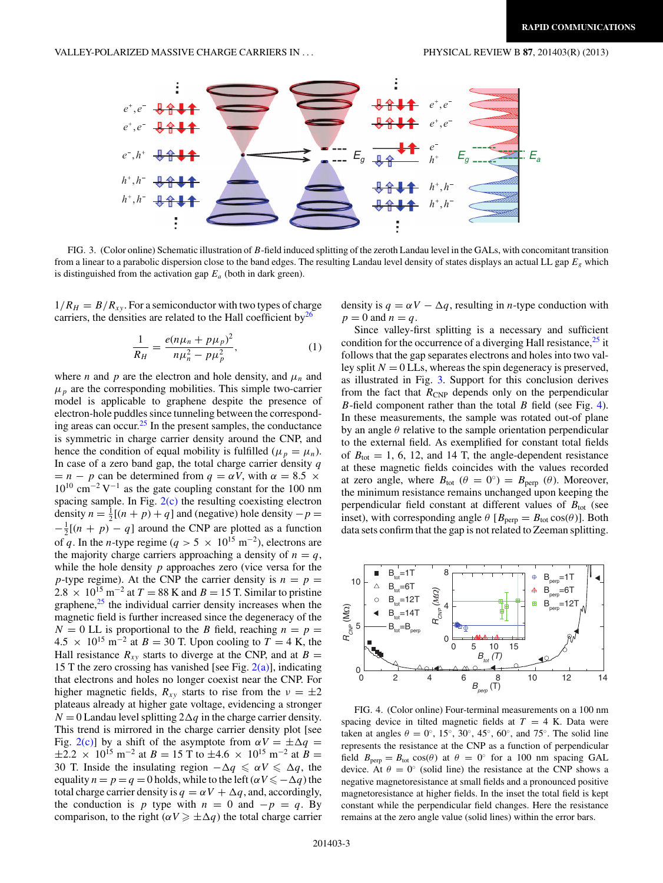<span id="page-2-0"></span>

FIG. 3. (Color online) Schematic illustration of *B*-field induced splitting of the zeroth Landau level in the GALs, with concomitant transition from a linear to a parabolic dispersion close to the band edges. The resulting Landau level density of states displays an actual LL gap *Eg* which is distinguished from the activation gap  $E_a$  (both in dark green).

 $1/R<sub>H</sub> = B/R<sub>xy</sub>$ . For a semiconductor with two types of charge carriers, the densities are related to the Hall coefficient by $^{26}$ 

$$
\frac{1}{R_H} = \frac{e(n\mu_n + p\mu_p)^2}{n\mu_n^2 - p\mu_p^2},
$$
\n(1)

where *n* and *p* are the electron and hole density, and  $\mu_n$  and  $\mu_p$  are the corresponding mobilities. This simple two-carrier model is applicable to graphene despite the presence of electron-hole puddles since tunneling between the correspond-ing areas can occur.<sup>[25](#page-5-0)</sup> In the present samples, the conductance is symmetric in charge carrier density around the CNP, and hence the condition of equal mobility is fulfilled ( $\mu_p = \mu_n$ ). In case of a zero band gap, the total charge carrier density *q*  $= n - p$  can be determined from  $q = \alpha V$ , with  $\alpha = 8.5 \times$  $10^{10}$  cm<sup>-2</sup> V<sup>-1</sup> as the gate coupling constant for the 100 nm spacing sample. In Fig.  $2(c)$  the resulting coexisting electron density  $n = \frac{1}{2}[(n+p)+q]$  and (negative) hole density  $-p =$  $-\frac{1}{2}[(n + p) - q]$  around the CNP are plotted as a function of *q*. In the *n*-type regime ( $q > 5 \times 10^{15}$  m<sup>-2</sup>), electrons are the majority charge carriers approaching a density of  $n = q$ , while the hole density *p* approaches zero (vice versa for the *p*-type regime). At the CNP the carrier density is  $n = p =$  $2.8 \times 10^{15}$  m<sup>-2</sup> at  $T = 88$  K and  $B = 15$  T. Similar to pristine graphene, $25$  the individual carrier density increases when the magnetic field is further increased since the degeneracy of the  $N = 0$  LL is proportional to the *B* field, reaching  $n = p =$  $4.5 \times 10^{15}$  m<sup>-2</sup> at *B* = 30 T. Upon cooling to *T* = 4 K, the Hall resistance  $R_{xy}$  starts to diverge at the CNP, and at  $B =$ 15 T the zero crossing has vanished [see Fig.  $2(a)$ ], indicating that electrons and holes no longer coexist near the CNP. For higher magnetic fields,  $R_{xy}$  starts to rise from the  $v = \pm 2$ plateaus already at higher gate voltage, evidencing a stronger  $N = 0$  Landau level splitting  $2\Delta q$  in the charge carrier density. This trend is mirrored in the charge carrier density plot [see Fig. [2\(c\)\]](#page-1-0) by a shift of the asymptote from  $\alpha V = \pm \Delta q$  $\pm 2.2 \times 10^{15}$  m<sup>-2</sup> at *B* = 15 T to  $\pm 4.6 \times 10^{15}$  m<sup>-2</sup> at *B* = 30 T. Inside the insulating region  $-\Delta q \le \alpha V \le \Delta q$ , the equality  $n = p = q = 0$  holds, while to the left  $(\alpha V \le -\Delta q)$  the total charge carrier density is  $q = \alpha V + \Delta q$ , and, accordingly, the conduction is *p* type with  $n = 0$  and  $-p = q$ . By comparison, to the right ( $\alpha V \ge \pm \Delta q$ ) the total charge carrier density is  $q = \alpha V - \Delta q$ , resulting in *n*-type conduction with  $p = 0$  and  $n = q$ .

Since valley-first splitting is a necessary and sufficient condition for the occurrence of a diverging Hall resistance, $^{25}$  $^{25}$  $^{25}$  it follows that the gap separates electrons and holes into two valley split  $N = 0$  LLs, whereas the spin degeneracy is preserved, as illustrated in Fig. 3. Support for this conclusion derives from the fact that  $R_{\text{CNP}}$  depends only on the perpendicular *B*-field component rather than the total *B* field (see Fig. 4). In these measurements, the sample was rotated out-of plane by an angle *θ* relative to the sample orientation perpendicular to the external field. As exemplified for constant total fields of  $B_{\text{tot}} = 1, 6, 12,$  and 14 T, the angle-dependent resistance at these magnetic fields coincides with the values recorded at zero angle, where  $B_{\text{tot}}$  ( $\theta = 0^{\circ}$ ) =  $B_{\text{perp}}$  ( $\theta$ ). Moreover, the minimum resistance remains unchanged upon keeping the perpendicular field constant at different values of  $B_{\text{tot}}$  (see inset), with corresponding angle  $\theta$  [ $B_{\text{perp}} = B_{\text{tot}} \cos(\theta)$ ]. Both data sets confirm that the gap is not related to Zeeman splitting.



FIG. 4. (Color online) Four-terminal measurements on a 100 nm spacing device in tilted magnetic fields at  $T = 4$  K. Data were taken at angles  $\theta = 0^\circ$ , 15°, 30°, 45°, 60°, and 75°. The solid line represents the resistance at the CNP as a function of perpendicular field  $B_{\text{perp}} = B_{\text{tot}} \cos(\theta)$  at  $\theta = 0$ ° for a 100 nm spacing GAL device. At  $\theta = 0^\circ$  (solid line) the resistance at the CNP shows a negative magnetoresistance at small fields and a pronounced positive magnetoresistance at higher fields. In the inset the total field is kept constant while the perpendicular field changes. Here the resistance remains at the zero angle value (solid lines) within the error bars.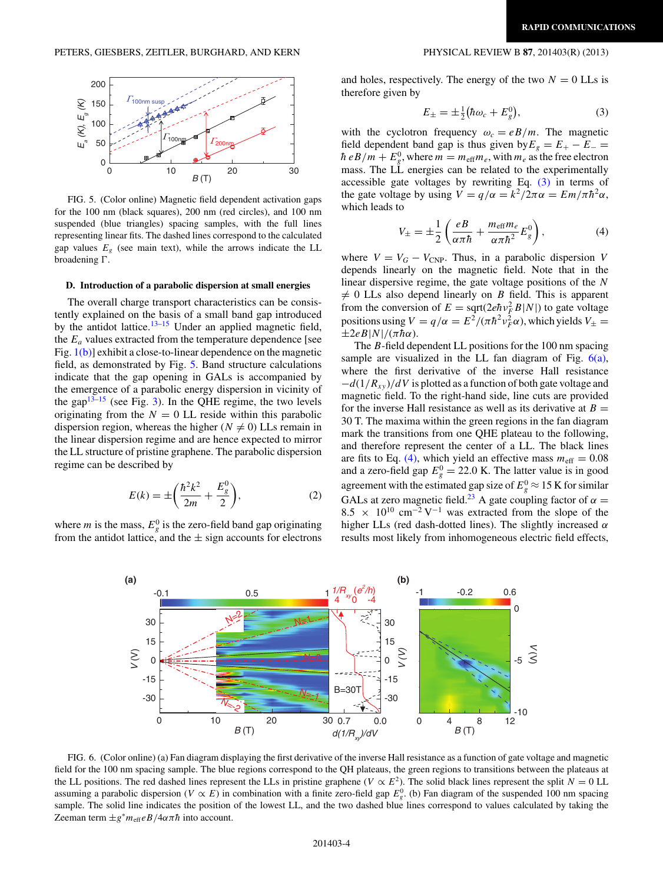<span id="page-3-0"></span>

FIG. 5. (Color online) Magnetic field dependent activation gaps for the 100 nm (black squares), 200 nm (red circles), and 100 nm suspended (blue triangles) spacing samples, with the full lines representing linear fits. The dashed lines correspond to the calculated gap values  $E<sub>g</sub>$  (see main text), while the arrows indicate the LL broadening  $\Gamma$ .

## **D. Introduction of a parabolic dispersion at small energies**

The overall charge transport characteristics can be consistently explained on the basis of a small band gap introduced by the antidot lattice.<sup>[13–15](#page-5-0)</sup> Under an applied magnetic field, the  $E_a$  values extracted from the temperature dependence [see Fig. [1\(b\)\]](#page-1-0) exhibit a close-to-linear dependence on the magnetic field, as demonstrated by Fig. 5. Band structure calculations indicate that the gap opening in GALs is accompanied by the emergence of a parabolic energy dispersion in vicinity of the gap $13\overline{-15}$  (see Fig. [3\)](#page-2-0). In the QHE regime, the two levels originating from the  $N = 0$  LL reside within this parabolic dispersion region, whereas the higher ( $N \neq 0$ ) LLs remain in the linear dispersion regime and are hence expected to mirror the LL structure of pristine graphene. The parabolic dispersion regime can be described by

$$
E(k) = \pm \left(\frac{\hbar^2 k^2}{2m} + \frac{E_g^0}{2}\right),
$$
 (2)

where *m* is the mass,  $E_g^0$  is the zero-field band gap originating from the antidot lattice, and the  $\pm$  sign accounts for electrons

and holes, respectively. The energy of the two  $N = 0$  LLs is therefore given by

$$
E_{\pm} = \pm \frac{1}{2} (\hbar \omega_c + E_g^0), \tag{3}
$$

with the cyclotron frequency  $\omega_c = eB/m$ . The magnetic field dependent band gap is thus given by  $E_g = E_+ - E_ \hbar$  *eB*/*m* +  $E_g^0$ , where  $m = m_{\text{eff}} m_e$ , with  $m_e$  as the free electron mass. The LL energies can be related to the experimentally accessible gate voltages by rewriting Eq. (3) in terms of the gate voltage by using  $V = q/\alpha = k^2/2\pi\alpha = E m/\pi\hbar^2\alpha$ , which leads to

$$
V_{\pm} = \pm \frac{1}{2} \left( \frac{eB}{\alpha \pi \hbar} + \frac{m_{\text{eff}} m_e}{\alpha \pi \hbar^2} E_g^0 \right),\tag{4}
$$

where  $V = V_G - V_{CNP}$ . Thus, in a parabolic dispersion *V* depends linearly on the magnetic field. Note that in the linear dispersive regime, the gate voltage positions of the *N*  $\neq$  0 LLs also depend linearly on *B* field. This is apparent from the conversion of  $E = \sqrt{\frac{2e\hbar v_F^2 B|N|}{r}}$  to gate voltage positions using  $V = q/\alpha = E^2/(\pi \hbar^2 v_F^2 \alpha)$ , which yields  $V_{\pm} =$  $\pm 2eB|N|/(\pi\hbar\alpha)$ .

The *B*-field dependent LL positions for the 100 nm spacing sample are visualized in the LL fan diagram of Fig.  $6(a)$ , where the first derivative of the inverse Hall resistance −*d*(1*/Rxy* )*/dV* is plotted as a function of both gate voltage and magnetic field. To the right-hand side, line cuts are provided for the inverse Hall resistance as well as its derivative at  $B =$ 30 T. The maxima within the green regions in the fan diagram mark the transitions from one QHE plateau to the following, and therefore represent the center of a LL. The black lines are fits to Eq. (4), which yield an effective mass  $m_{\text{eff}} = 0.08$ and a zero-field gap  $E_g^0 = 22.0$  K. The latter value is in good agreement with the estimated gap size of  $E_g^0 \approx 15$  K for similar GALs at zero magnetic field.<sup>23</sup> A gate coupling factor of  $\alpha$  = 8.5  $\times$  10<sup>10</sup> cm<sup>-2</sup> V<sup>-1</sup> was extracted from the slope of the higher LLs (red dash-dotted lines). The slightly increased *α* results most likely from inhomogeneous electric field effects,



FIG. 6. (Color online) (a) Fan diagram displaying the first derivative of the inverse Hall resistance as a function of gate voltage and magnetic field for the 100 nm spacing sample. The blue regions correspond to the QH plateaus, the green regions to transitions between the plateaus at the LL positions. The red dashed lines represent the LLs in pristine graphene ( $V \propto E^2$ ). The solid black lines represent the split  $N = 0$  LL assuming a parabolic dispersion (*V*  $\propto$  *E*) in combination with a finite zero-field gap  $E_g^0$ . (b) Fan diagram of the suspended 100 nm spacing sample. The solid line indicates the position of the lowest LL, and the two dashed blue lines correspond to values calculated by taking the Zeeman term  $\pm g^* m_{\text{eff}} e B / 4 \alpha \pi \hbar$  into account.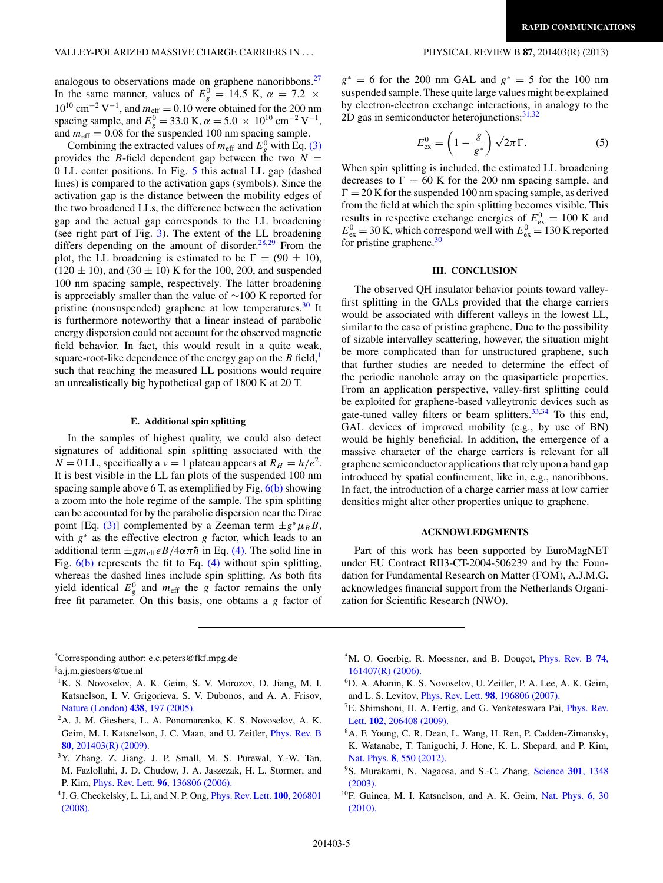<span id="page-4-0"></span>analogous to observations made on graphene nanoribbons.<sup>27</sup> In the same manner, values of  $E_g^0 = 14.5$  K,  $\alpha = 7.2 \times$  $10^{10}$  cm<sup>-2</sup> V<sup>-1</sup>, and  $m_{\text{eff}} = 0.10$  were obtained for the 200 nm spacing sample, and  $E_g^0 = 33.0 \text{ K}, \alpha = 5.0 \times 10^{10} \text{ cm}^{-2} \text{ V}^{-1},$ and  $m_{\text{eff}} = 0.08$  for the suspended 100 nm spacing sample.

Combining the extracted values of  $m_{\text{eff}}$  and  $E_g^0$  with Eq. [\(3\)](#page-3-0) provides the *B*-field dependent gap between the two  $N =$ 0 LL center positions. In Fig. [5](#page-3-0) this actual LL gap (dashed lines) is compared to the activation gaps (symbols). Since the activation gap is the distance between the mobility edges of the two broadened LLs, the difference between the activation gap and the actual gap corresponds to the LL broadening (see right part of Fig. [3\)](#page-2-0). The extent of the LL broadening differs depending on the amount of disorder.<sup>[28,29](#page-5-0)</sup> From the plot, the LL broadening is estimated to be  $\Gamma = (90 \pm 10)$ ,  $(120 \pm 10)$ , and  $(30 \pm 10)$  K for the 100, 200, and suspended 100 nm spacing sample, respectively. The latter broadening is appreciably smaller than the value of ∼100 K reported for pristine (nonsuspended) graphene at low temperatures.<sup>[30](#page-5-0)</sup> It is furthermore noteworthy that a linear instead of parabolic energy dispersion could not account for the observed magnetic field behavior. In fact, this would result in a quite weak, square-root-like dependence of the energy gap on the  $B$  field,<sup>1</sup> such that reaching the measured LL positions would require an unrealistically big hypothetical gap of 1800 K at 20 T.

## **E. Additional spin splitting**

In the samples of highest quality, we could also detect signatures of additional spin splitting associated with the  $N = 0$  LL, specifically a  $\nu = 1$  plateau appears at  $R_H = h/e^2$ . It is best visible in the LL fan plots of the suspended 100 nm spacing sample above 6 T, as exemplified by Fig.  $6(b)$  showing a zoom into the hole regime of the sample. The spin splitting can be accounted for by the parabolic dispersion near the Dirac point [Eq. [\(3\)\]](#page-3-0) complemented by a Zeeman term  $\pm g^* \mu_B B$ , with *g*<sup>∗</sup> as the effective electron *g* factor, which leads to an additional term  $\pm g m_{\text{eff}} e B/4 \alpha \pi \hbar$  in Eq. [\(4\).](#page-3-0) The solid line in Fig. [6\(b\)](#page-3-0) represents the fit to Eq. [\(4\)](#page-3-0) without spin splitting, whereas the dashed lines include spin splitting. As both fits yield identical  $E_g^0$  and  $m_{\text{eff}}$  the *g* factor remains the only free fit parameter. On this basis, one obtains a *g* factor of

*g*<sup>∗</sup> = 6 for the 200 nm GAL and *g*<sup>∗</sup> = 5 for the 100 nm suspended sample. These quite large values might be explained by electron-electron exchange interactions, in analogy to the 2D gas in semiconductor heterojunctions: $31,32$ 

$$
E_{\text{ex}}^0 = \left(1 - \frac{g}{g^*}\right) \sqrt{2\pi} \Gamma. \tag{5}
$$

When spin splitting is included, the estimated LL broadening decreases to  $\Gamma = 60$  K for the 200 nm spacing sample, and  $\Gamma = 20$  K for the suspended 100 nm spacing sample, as derived from the field at which the spin splitting becomes visible. This results in respective exchange energies of  $E_{\text{ex}}^0 = 100 \text{ K}$  and  $E_{\text{ex}}^0 = 30$  K, which correspond well with  $E_{\text{ex}}^0 = 130$  K reported for pristine graphene.<sup>[30](#page-5-0)</sup>

## **III. CONCLUSION**

The observed QH insulator behavior points toward valleyfirst splitting in the GALs provided that the charge carriers would be associated with different valleys in the lowest LL, similar to the case of pristine graphene. Due to the possibility of sizable intervalley scattering, however, the situation might be more complicated than for unstructured graphene, such that further studies are needed to determine the effect of the periodic nanohole array on the quasiparticle properties. From an application perspective, valley-first splitting could be exploited for graphene-based valleytronic devices such as gate-tuned valley filters or beam splitters.<sup>33,34</sup> To this end, GAL devices of improved mobility (e.g., by use of BN) would be highly beneficial. In addition, the emergence of a massive character of the charge carriers is relevant for all graphene semiconductor applications that rely upon a band gap introduced by spatial confinement, like in, e.g., nanoribbons. In fact, the introduction of a charge carrier mass at low carrier densities might alter other properties unique to graphene.

## **ACKNOWLEDGMENTS**

Part of this work has been supported by EuroMagNET under EU Contract RII3-CT-2004-506239 and by the Foundation for Fundamental Research on Matter (FOM), A.J.M.G. acknowledges financial support from the Netherlands Organization for Scientific Research (NWO).

- <sup>1</sup>K. S. Novoselov, A. K. Geim, S. V. Morozov, D. Jiang, M. I. Katsnelson, I. V. Grigorieva, S. V. Dubonos, and A. A. Frisov, [Nature \(London\)](http://dx.doi.org/10.1038/nature04233) **438**, 197 (2005).
- 2A. J. M. Giesbers, L. A. Ponomarenko, K. S. Novoselov, A. K. Geim, M. I. Katsnelson, J. C. Maan, and U. Zeitler, [Phys. Rev. B](http://dx.doi.org/10.1103/PhysRevB.80.201403) **80**[, 201403\(R\) \(2009\).](http://dx.doi.org/10.1103/PhysRevB.80.201403)
- 3Y. Zhang, Z. Jiang, J. P. Small, M. S. Purewal, Y.-W. Tan, M. Fazlollahi, J. D. Chudow, J. A. Jaszczak, H. L. Stormer, and P. Kim, Phys. Rev. Lett. **96**[, 136806 \(2006\).](http://dx.doi.org/10.1103/PhysRevLett.96.136806)
- 4J. G. Checkelsky, L. Li, and N. P. Ong, [Phys. Rev. Lett.](http://dx.doi.org/10.1103/PhysRevLett.100.206801) **100**, 206801 [\(2008\).](http://dx.doi.org/10.1103/PhysRevLett.100.206801)
- <sup>5</sup>M. O. Goerbig, R. Moessner, and B. Douçot, [Phys. Rev. B](http://dx.doi.org/10.1103/PhysRevB.74.161407) **74**, [161407\(R\) \(2006\).](http://dx.doi.org/10.1103/PhysRevB.74.161407)
- 6D. A. Abanin, K. S. Novoselov, U. Zeitler, P. A. Lee, A. K. Geim, and L. S. Levitov, Phys. Rev. Lett. **98**[, 196806 \(2007\).](http://dx.doi.org/10.1103/PhysRevLett.98.196806)
- ${}^{7}E$ . Shimshoni, H. A. Fertig, and G. Venketeswara Pai, [Phys. Rev.](http://dx.doi.org/10.1103/PhysRevLett.102.206408) Lett. **102**[, 206408 \(2009\).](http://dx.doi.org/10.1103/PhysRevLett.102.206408)
- 8A. F. Young, C. R. Dean, L. Wang, H. Ren, P. Cadden-Zimansky, K. Watanabe, T. Taniguchi, J. Hone, K. L. Shepard, and P. Kim, Nat. Phys. **8**[, 550 \(2012\).](http://dx.doi.org/10.1038/nphys2307)
- 9S. Murakami, N. Nagaosa, and S.-C. Zhang, [Science](http://dx.doi.org/10.1126/science.1087128) **301**, 1348 [\(2003\).](http://dx.doi.org/10.1126/science.1087128)
- 10F. Guinea, M. I. Katsnelson, and A. K. Geim, [Nat. Phys.](http://dx.doi.org/10.1038/nphys1420) **6**, 30 [\(2010\).](http://dx.doi.org/10.1038/nphys1420)

<sup>\*</sup> Corresponding author: e.c.peters@fkf.mpg.de

<sup>†</sup> a.j.m.giesbers@tue.nl